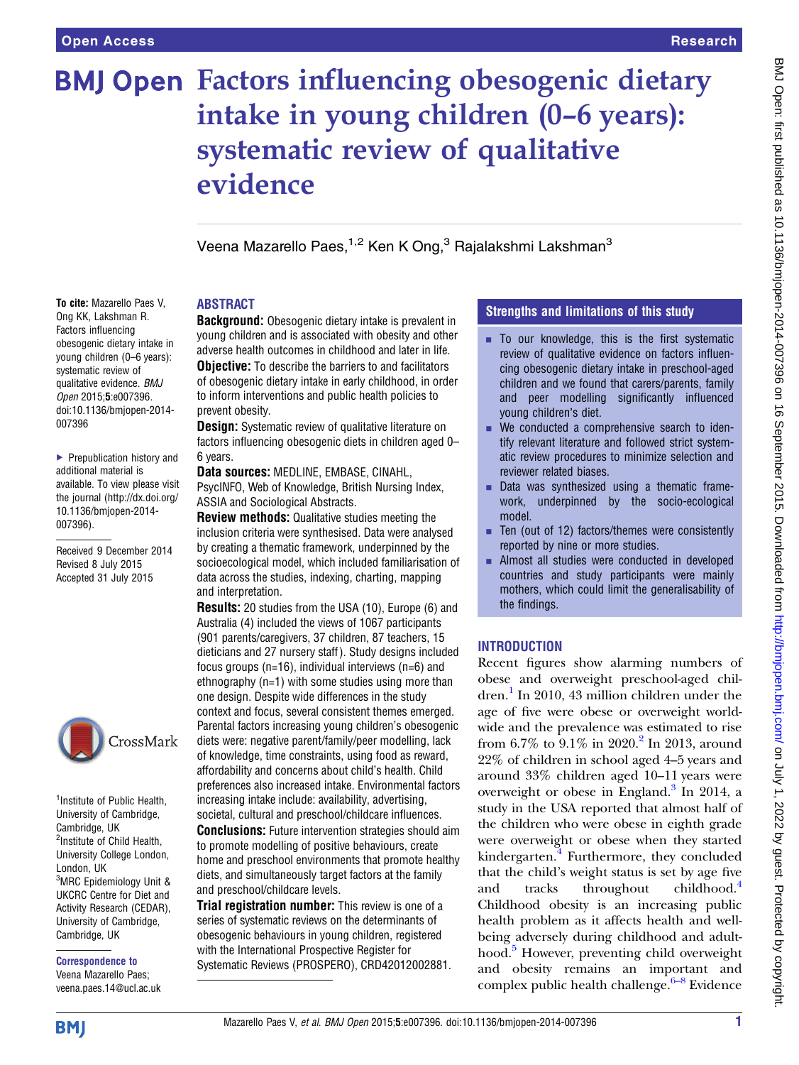# **BMJ Open Factors influencing obesogenic dietary** intake in young children (0–6 years): systematic review of qualitative evidence

Veena Mazarello Paes,<sup>1,2</sup> Ken K Ong,<sup>3</sup> Rajalakshmi Lakshman<sup>3</sup>

# ABSTRACT

**Background:** Obesogenic dietary intake is prevalent in young children and is associated with obesity and other adverse health outcomes in childhood and later in life.

**Objective:** To describe the barriers to and facilitators of obesogenic dietary intake in early childhood, in order to inform interventions and public health policies to prevent obesity.

**Design:** Systematic review of qualitative literature on factors influencing obesogenic diets in children aged 0– 6 years.

Data sources: MEDLINE, EMBASE, CINAHL, PsycINFO, Web of Knowledge, British Nursing Index, ASSIA and Sociological Abstracts.

Review methods: Qualitative studies meeting the inclusion criteria were synthesised. Data were analysed by creating a thematic framework, underpinned by the socioecological model, which included familiarisation of data across the studies, indexing, charting, mapping and interpretation.

Results: 20 studies from the USA (10), Europe (6) and Australia (4) included the views of 1067 participants (901 parents/caregivers, 37 children, 87 teachers, 15 dieticians and 27 nursery staff ). Study designs included focus groups (n=16), individual interviews (n=6) and ethnography (n=1) with some studies using more than one design. Despite wide differences in the study context and focus, several consistent themes emerged. Parental factors increasing young children's obesogenic diets were: negative parent/family/peer modelling, lack of knowledge, time constraints, using food as reward, affordability and concerns about child's health. Child preferences also increased intake. Environmental factors increasing intake include: availability, advertising, societal, cultural and preschool/childcare influences.

**Conclusions:** Future intervention strategies should aim to promote modelling of positive behaviours, create home and preschool environments that promote healthy diets, and simultaneously target factors at the family and preschool/childcare levels.

**Trial registration number:** This review is one of a series of systematic reviews on the determinants of obesogenic behaviours in young children, registered with the International Prospective Register for Systematic Reviews (PROSPERO), CRD42012002881.

# Strengths and limitations of this study

- **To our knowledge, this is the first systematic** review of qualitative evidence on factors influencing obesogenic dietary intake in preschool-aged children and we found that carers/parents, family and peer modelling significantly influenced young children's diet.
- We conducted a comprehensive search to identify relevant literature and followed strict systematic review procedures to minimize selection and reviewer related biases.
- Data was synthesized using a thematic framework, underpinned by the socio-ecological model.
- Ten (out of 12) factors/themes were consistently reported by nine or more studies.
- Almost all studies were conducted in developed countries and study participants were mainly mothers, which could limit the generalisability of the findings.

# INTRODUCTION

Recent figures show alarming numbers of obese and overweight preschool-aged chil-dren.<sup>[1](#page-6-0)</sup> In 2010, 43 million children under the age of five were obese or overweight worldwide and the prevalence was estimated to rise from 6.7% to  $9.1\%$  in  $2020.<sup>2</sup>$  $2020.<sup>2</sup>$  In 2013, around 22% of children in school aged 4–5 years and around 33% children aged 10–11 years were overweight or obese in England.<sup>[3](#page-6-0)</sup> In 2014, a study in the USA reported that almost half of the children who were obese in eighth grade were overweight or obese when they started kindergarten.<sup>[4](#page-6-0)</sup> Furthermore, they concluded that the child's weight status is set by age five and tracks throughout childhood.<sup>[4](#page-6-0)</sup> Childhood obesity is an increasing public health problem as it affects health and wellbeing adversely during childhood and adult-hood.<sup>[5](#page-6-0)</sup> However, preventing child overweight and obesity remains an important and complex public health challenge. $6-8$  $6-8$  Evidence

Open 2015;5:e007396. doi:10.1136/bmjopen-2014- 007396 ▶ Prepublication history and additional material is available. To view please visit

To cite: Mazarello Paes V, Ong KK, Lakshman R. Factors influencing obesogenic dietary intake in young children (0–6 years): systematic review of qualitative evidence. BMJ

[007396\)](http://dx.doi.org/10.1136/bmjopen-2014-007396). Received 9 December 2014 Revised 8 July 2015

Accepted 31 July 2015

the journal [\(http://dx.doi.org/](http://dx.doi.org/10.1136/bmjopen-2014-007396) [10.1136/bmjopen-2014-](http://dx.doi.org/10.1136/bmjopen-2014-007396)



<sup>1</sup> Institute of Public Health, University of Cambridge, Cambridge, UK <sup>2</sup>Institute of Child Health, University College London, London, UK 3 MRC Epidemiology Unit & UKCRC Centre for Diet and Activity Research (CEDAR), University of Cambridge, Cambridge, UK

Correspondence to Veena Mazarello Paes; veena.paes.14@ucl.ac.uk

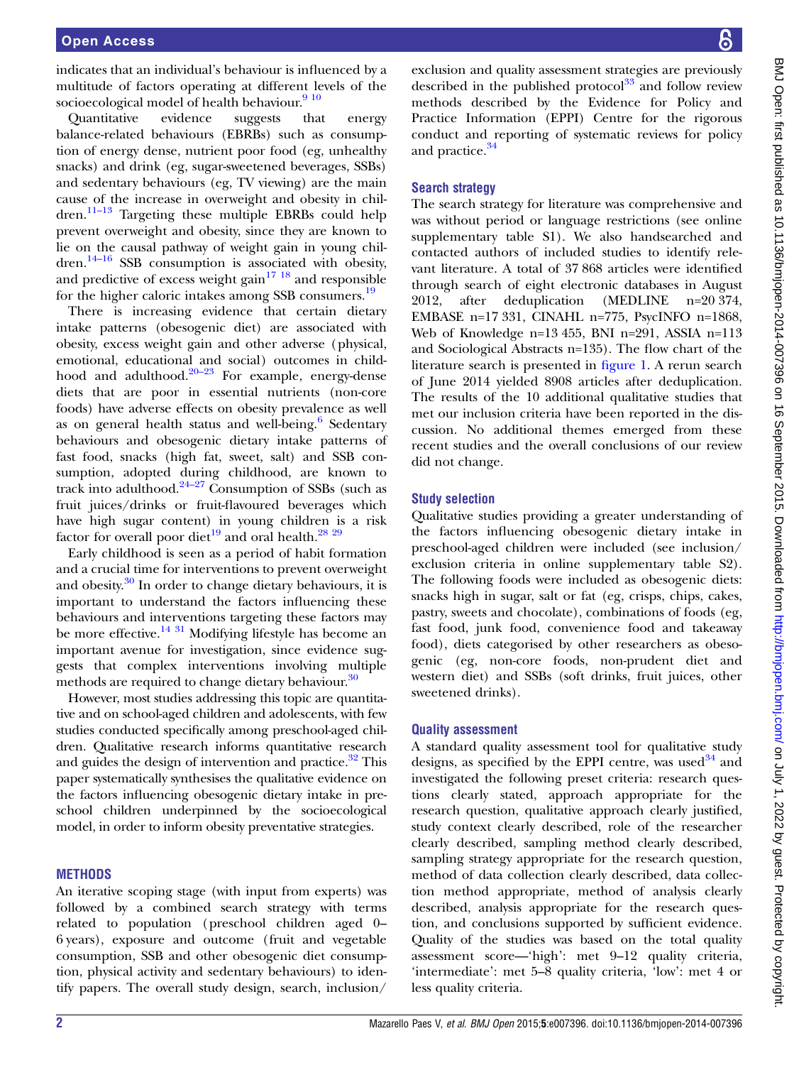indicates that an individual's behaviour is influenced by a multitude of factors operating at different levels of the socioecological model of health behaviour.<sup>[9 10](#page-6-0)</sup>

Quantitative evidence suggests that energy balance-related behaviours (EBRBs) such as consumption of energy dense, nutrient poor food (eg, unhealthy snacks) and drink (eg, sugar-sweetened beverages, SSBs) and sedentary behaviours (eg, TV viewing) are the main cause of the increase in overweight and obesity in chil $dren.$ <sup>11–[13](#page-6-0)</sup> Targeting these multiple EBRBs could help prevent overweight and obesity, since they are known to lie on the causal pathway of weight gain in young children.14–[16](#page-6-0) SSB consumption is associated with obesity, and predictive of excess weight gain<sup>17</sup>  $\frac{18}{18}$  and responsible for the higher caloric intakes among SSB consumers[.19](#page-7-0)

There is increasing evidence that certain dietary intake patterns (obesogenic diet) are associated with obesity, excess weight gain and other adverse (physical, emotional, educational and social) outcomes in childhood and adulthood. $20-23$  $20-23$  For example, energy-dense diets that are poor in essential nutrients (non-core foods) have adverse effects on obesity prevalence as well as on general health status and well-being. $6$  Sedentary behaviours and obesogenic dietary intake patterns of fast food, snacks (high fat, sweet, salt) and SSB consumption, adopted during childhood, are known to track into adulthood. $24-27$  $24-27$  Consumption of SSBs (such as fruit juices/drinks or fruit-flavoured beverages which have high sugar content) in young children is a risk factor for overall poor diet<sup>[19](#page-7-0)</sup> and oral health.<sup>[28 29](#page-7-0)</sup>

Early childhood is seen as a period of habit formation and a crucial time for interventions to prevent overweight and obesity.<sup>[30](#page-7-0)</sup> In order to change dietary behaviours, it is important to understand the factors influencing these behaviours and interventions targeting these factors may be more effective.<sup>[14](#page-6-0) [31](#page-7-0)</sup> Modifying lifestyle has become an important avenue for investigation, since evidence suggests that complex interventions involving multiple methods are required to change dietary behaviour.<sup>30</sup>

However, most studies addressing this topic are quantitative and on school-aged children and adolescents, with few studies conducted specifically among preschool-aged children. Qualitative research informs quantitative research and guides the design of intervention and practice.<sup>32</sup> This paper systematically synthesises the qualitative evidence on the factors influencing obesogenic dietary intake in preschool children underpinned by the socioecological model, in order to inform obesity preventative strategies.

# **METHODS**

An iterative scoping stage (with input from experts) was followed by a combined search strategy with terms related to population (preschool children aged 0– 6 years), exposure and outcome (fruit and vegetable consumption, SSB and other obesogenic diet consumption, physical activity and sedentary behaviours) to identify papers. The overall study design, search, inclusion/

exclusion and quality assessment strategies are previously described in the published protocol $^{33}$  $^{33}$  $^{33}$  and follow review methods described by the Evidence for Policy and Practice Information (EPPI) Centre for the rigorous conduct and reporting of systematic reviews for policy and practice.<sup>[34](#page-7-0)</sup>

# Search strategy

The search strategy for literature was comprehensive and was without period or language restrictions (see online supplementary table S1). We also handsearched and contacted authors of included studies to identify relevant literature. A total of 37 868 articles were identified through search of eight electronic databases in August 2012, after deduplication (MEDLINE n=20 374, EMBASE n=17 331, CINAHL n=775, PsycINFO n=1868, Web of Knowledge n=13 455, BNI n=291, ASSIA n=113 and Sociological Abstracts n=135). The flow chart of the literature search is presented in fi[gure 1](#page-2-0). A rerun search of June 2014 yielded 8908 articles after deduplication. The results of the 10 additional qualitative studies that met our inclusion criteria have been reported in the discussion. No additional themes emerged from these recent studies and the overall conclusions of our review did not change.

## Study selection

Qualitative studies providing a greater understanding of the factors influencing obesogenic dietary intake in preschool-aged children were included (see inclusion/ exclusion criteria in online [supplementary table](http://bmjopen.bmj.com/lookup/suppl/doi:10.1136/bmjopen-2014-007396/-/DC1) S2). The following foods were included as obesogenic diets: snacks high in sugar, salt or fat (eg, crisps, chips, cakes, pastry, sweets and chocolate), combinations of foods (eg, fast food, junk food, convenience food and takeaway food), diets categorised by other researchers as obesogenic (eg, non-core foods, non-prudent diet and western diet) and SSBs (soft drinks, fruit juices, other sweetened drinks).

### Quality assessment

A standard quality assessment tool for qualitative study designs, as specified by the EPPI centre, was used  $34$  and investigated the following preset criteria: research questions clearly stated, approach appropriate for the research question, qualitative approach clearly justified, study context clearly described, role of the researcher clearly described, sampling method clearly described, sampling strategy appropriate for the research question, method of data collection clearly described, data collection method appropriate, method of analysis clearly described, analysis appropriate for the research question, and conclusions supported by sufficient evidence. Quality of the studies was based on the total quality assessment score—'high': met 9–12 quality criteria, 'intermediate': met 5–8 quality criteria, 'low': met 4 or less quality criteria.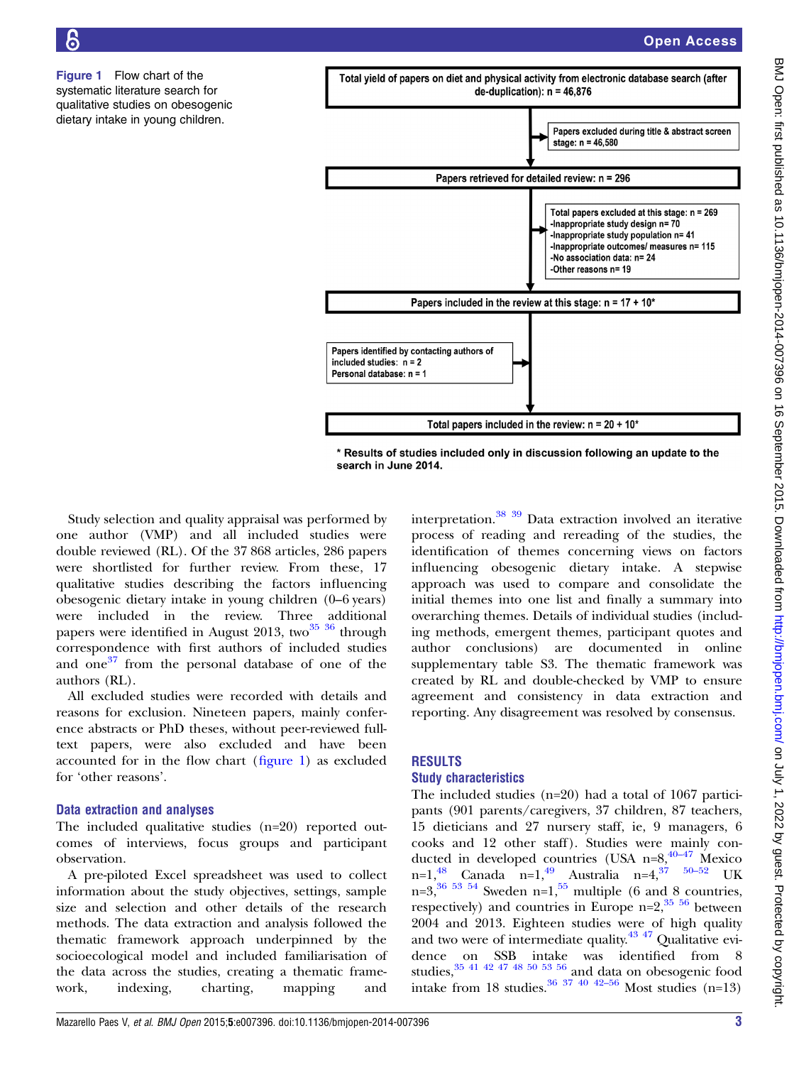<span id="page-2-0"></span>Figure 1 Flow chart of the systematic literature search for qualitative studies on obesogenic dietary intake in young children.



\* Results of studies included only in discussion following an update to the search in June 2014.

Study selection and quality appraisal was performed by one author (VMP) and all included studies were double reviewed (RL). Of the 37 868 articles, 286 papers were shortlisted for further review. From these, 17 qualitative studies describing the factors influencing obesogenic dietary intake in young children (0–6 years) were included in the review. Three additional papers were identified in August 2013, two  $35\frac{36}{10}$  through correspondence with first authors of included studies and one<sup>37</sup> from the personal database of one of the authors (RL).

All excluded studies were recorded with details and reasons for exclusion. Nineteen papers, mainly conference abstracts or PhD theses, without peer-reviewed fulltext papers, were also excluded and have been accounted for in the flow chart (figure 1) as excluded for 'other reasons'.

### Data extraction and analyses

The included qualitative studies (n=20) reported outcomes of interviews, focus groups and participant observation.

A pre-piloted Excel spreadsheet was used to collect information about the study objectives, settings, sample size and selection and other details of the research methods. The data extraction and analysis followed the thematic framework approach underpinned by the socioecological model and included familiarisation of the data across the studies, creating a thematic framework, indexing, charting, mapping and interpretation.[38 39](#page-7-0) Data extraction involved an iterative process of reading and rereading of the studies, the identification of themes concerning views on factors influencing obesogenic dietary intake. A stepwise approach was used to compare and consolidate the initial themes into one list and finally a summary into overarching themes. Details of individual studies (including methods, emergent themes, participant quotes and author conclusions) are documented in online [supplementary table](http://bmjopen.bmj.com/lookup/suppl/doi:10.1136/bmjopen-2014-007396/-/DC1) S3. The thematic framework was created by RL and double-checked by VMP to ensure agreement and consistency in data extraction and reporting. Any disagreement was resolved by consensus.

### RESULTS

### Study characteristics

The included studies (n=20) had a total of 1067 participants (901 parents/caregivers, 37 children, 87 teachers, 15 dieticians and 27 nursery staff, ie, 9 managers, 6 cooks and 12 other staff). Studies were mainly con-ducted in developed countries (USA n=8,40-[47](#page-7-0) Mexico n=1,<sup>[48](#page-7-0)</sup> Canada n=1,<sup>[49](#page-7-0)</sup> Australia n=4,<sup>[37 50](#page-7-0)–52</sup> UK n=3,<sup>[36 53 54](#page-7-0)</sup> Sweden n=1,<sup>[55](#page-7-0)</sup> multiple (6 and 8 countries, respectively) and countries in Europe n= $2,35,56$  between 2004 and 2013. Eighteen studies were of high quality and two were of intermediate quality.<sup>[43 47](#page-7-0)</sup> Qualitative evidence on SSB intake was identified from 8 studies, $35\frac{41}{42}\frac{42}{47}\frac{48}{48}\frac{50}{53}\frac{53}{56}$  and data on obesogenic food intake from 18 studies. $36 \frac{3740}{42-56}$  $36 \frac{3740}{42-56}$  $36 \frac{3740}{42-56}$  Most studies (n=13)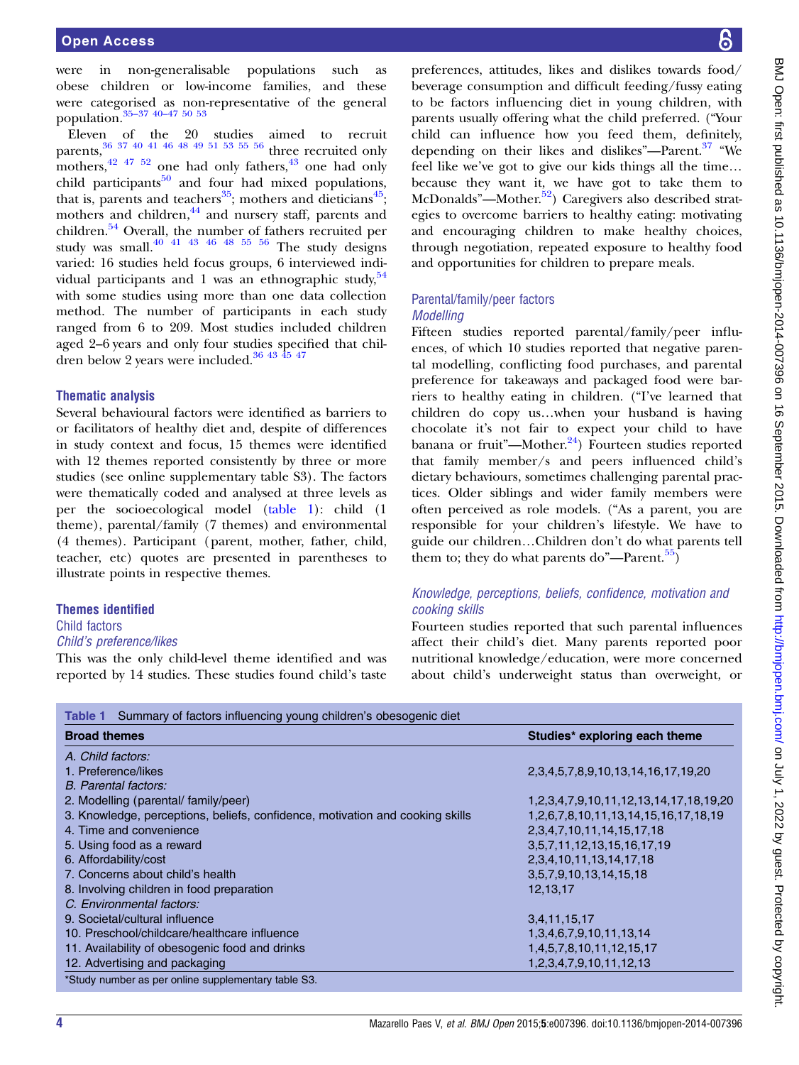were in non-generalisable populations such as obese children or low-income families, and these were categorised as non-representative of the general population.35–[37](#page-7-0) 40–[47 50 53](#page-7-0)

Eleven of the 20 studies aimed to recruit parents, $^{36}$   $^{37}$   $^{40}$   $^{41}$   $^{46}$   $^{48}$   $^{49}$   $^{51}$   $^{53}$   $^{55}$   $^{56}$  three recruited only mothers,  $42 \frac{47}{52}$  one had only fathers,  $43$  one had only child participants<sup>[50](#page-7-0)</sup> and four had mixed populations, that is, parents and teachers<sup>35</sup>; mothers and dieticians<sup>45</sup>; mothers and children, $44$  and nursery staff, parents and children.<sup>[54](#page-7-0)</sup> Overall, the number of fathers recruited per study was small.<sup>[40 41 43 46 48 55 56](#page-7-0)</sup> The study designs varied: 16 studies held focus groups, 6 interviewed individual participants and 1 was an ethnographic study,  $54$ with some studies using more than one data collection method. The number of participants in each study ranged from 6 to 209. Most studies included children aged 2–6 years and only four studies specified that chil-dren below 2 years were included.<sup>[36 43 45 47](#page-7-0)</sup>

#### Thematic analysis

Several behavioural factors were identified as barriers to or facilitators of healthy diet and, despite of differences in study context and focus, 15 themes were identified with 12 themes reported consistently by three or more studies (see online supplementary table S3). The factors were thematically coded and analysed at three levels as per the socioecological model (table 1): child (1 theme), parental/family (7 themes) and environmental (4 themes). Participant (parent, mother, father, child, teacher, etc) quotes are presented in parentheses to illustrate points in respective themes.

#### Themes identified Child factors

#### Child's preference/likes

This was the only child-level theme identified and was reported by 14 studies. These studies found child's taste

preferences, attitudes, likes and dislikes towards food/ beverage consumption and difficult feeding/fussy eating to be factors influencing diet in young children, with parents usually offering what the child preferred. ("Your child can influence how you feed them, definitely, depending on their likes and dislikes"—Parent.<sup>37</sup> "We feel like we've got to give our kids things all the time… because they want it, we have got to take them to McDonalds"-Mother.<sup>[52](#page-7-0)</sup>) Caregivers also described strategies to overcome barriers to healthy eating: motivating and encouraging children to make healthy choices, through negotiation, repeated exposure to healthy food and opportunities for children to prepare meals.

#### Parental/family/peer factors **Modelling**

Fifteen studies reported parental/family/peer influences, of which 10 studies reported that negative parental modelling, conflicting food purchases, and parental preference for takeaways and packaged food were barriers to healthy eating in children. ("I've learned that children do copy us…when your husband is having chocolate it's not fair to expect your child to have banana or fruit"—Mother. $24$ ) Fourteen studies reported that family member/s and peers influenced child's dietary behaviours, sometimes challenging parental practices. Older siblings and wider family members were often perceived as role models. ("As a parent, you are responsible for your children's lifestyle. We have to guide our children…Children don't do what parents tell them to; they do what parents do"—Parent. $55$ )

#### Knowledge, perceptions, beliefs, confidence, motivation and cooking skills

Fourteen studies reported that such parental influences affect their child's diet. Many parents reported poor nutritional knowledge/education, were more concerned about child's underweight status than overweight, or

| <b>Broad themes</b>                                                           | Studies* exploring each theme                        |
|-------------------------------------------------------------------------------|------------------------------------------------------|
| A. Child factors:                                                             |                                                      |
| 1. Preference/likes                                                           | 2, 3, 4, 5, 7, 8, 9, 10, 13, 14, 16, 17, 19, 20      |
| B. Parental factors:                                                          |                                                      |
| 2. Modelling (parental/family/peer)                                           | 1, 2, 3, 4, 7, 9, 10, 11, 12, 13, 14, 17, 18, 19, 20 |
| 3. Knowledge, perceptions, beliefs, confidence, motivation and cooking skills | 1, 2, 6, 7, 8, 10, 11, 13, 14, 15, 16, 17, 18, 19    |
| 4. Time and convenience                                                       | 2, 3, 4, 7, 10, 11, 14, 15, 17, 18                   |
| 5. Using food as a reward                                                     | 3,5,7,11,12,13,15,16,17,19                           |
| 6. Affordability/cost                                                         | 2, 3, 4, 10, 11, 13, 14, 17, 18                      |
| 7. Concerns about child's health                                              | 3,5,7,9,10,13,14,15,18                               |
| 8. Involving children in food preparation                                     | 12,13,17                                             |
| C. Environmental factors:                                                     |                                                      |
| 9. Societal/cultural influence                                                | 3,4,11,15,17                                         |
| 10. Preschool/childcare/healthcare influence                                  | 1, 3, 4, 6, 7, 9, 10, 11, 13, 14                     |
| 11. Availability of obesogenic food and drinks                                | 1,4,5,7,8,10,11,12,15,17                             |
| 12. Advertising and packaging                                                 | 1, 2, 3, 4, 7, 9, 10, 11, 12, 13                     |
| *Study number as per online supplementary table S3.                           |                                                      |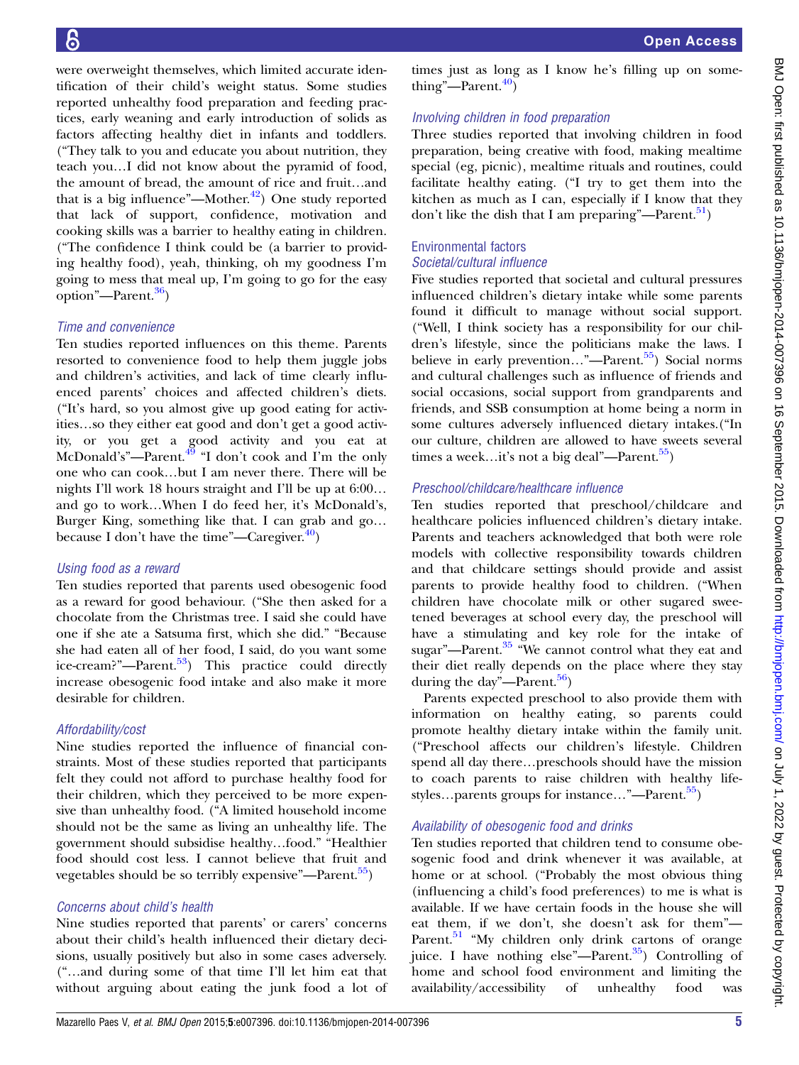were overweight themselves, which limited accurate identification of their child's weight status. Some studies reported unhealthy food preparation and feeding practices, early weaning and early introduction of solids as factors affecting healthy diet in infants and toddlers. ("They talk to you and educate you about nutrition, they teach you…I did not know about the pyramid of food, the amount of bread, the amount of rice and fruit…and that is a big influence"—Mother. $42$ ) One study reported that lack of support, confidence, motivation and cooking skills was a barrier to healthy eating in children. ("The confidence I think could be (a barrier to providing healthy food), yeah, thinking, oh my goodness I'm going to mess that meal up, I'm going to go for the easy option"—Parent.<sup>36</sup>)

#### Time and convenience

Ten studies reported influences on this theme. Parents resorted to convenience food to help them juggle jobs and children's activities, and lack of time clearly influenced parents' choices and affected children's diets. ("It's hard, so you almost give up good eating for activities…so they either eat good and don't get a good activity, or you get a good activity and you eat at McDonald's"—Parent. $\frac{49}{10}$  $\frac{49}{10}$  $\frac{49}{10}$  "I don't cook and I'm the only one who can cook…but I am never there. There will be nights I'll work 18 hours straight and I'll be up at 6:00… and go to work…When I do feed her, it's McDonald's, Burger King, something like that. I can grab and go… because I don't have the time"—Caregiver. $40$ )

#### Using food as a reward

Ten studies reported that parents used obesogenic food as a reward for good behaviour. ("She then asked for a chocolate from the Christmas tree. I said she could have one if she ate a Satsuma first, which she did." "Because she had eaten all of her food, I said, do you want some ice-cream?"—Parent.<sup>[53](#page-7-0)</sup>) This practice could directly increase obesogenic food intake and also make it more desirable for children.

#### Affordability/cost

Nine studies reported the influence of financial constraints. Most of these studies reported that participants felt they could not afford to purchase healthy food for their children, which they perceived to be more expensive than unhealthy food. ("A limited household income should not be the same as living an unhealthy life. The government should subsidise healthy…food." "Healthier food should cost less. I cannot believe that fruit and vegetables should be so terribly expensive"—Parent. $55$ )

### Concerns about child's health

Nine studies reported that parents' or carers' concerns about their child's health influenced their dietary decisions, usually positively but also in some cases adversely. ("…and during some of that time I'll let him eat that without arguing about eating the junk food a lot of times just as long as I know he's filling up on something"—Parent. $40$ )

#### Involving children in food preparation

Three studies reported that involving children in food preparation, being creative with food, making mealtime special (eg, picnic), mealtime rituals and routines, could facilitate healthy eating. ("I try to get them into the kitchen as much as I can, especially if I know that they don't like the dish that I am preparing"—Parent.<sup>51</sup>)

#### Environmental factors Societal/cultural influence

Five studies reported that societal and cultural pressures influenced children's dietary intake while some parents found it difficult to manage without social support. ("Well, I think society has a responsibility for our children's lifestyle, since the politicians make the laws. I believe in early prevention..."—Parent.<sup>55</sup>) Social norms and cultural challenges such as influence of friends and social occasions, social support from grandparents and friends, and SSB consumption at home being a norm in some cultures adversely influenced dietary intakes.("In our culture, children are allowed to have sweets several times a week…it's not a big deal"—Parent.<sup>55</sup>)

#### Preschool/childcare/healthcare influence

Ten studies reported that preschool/childcare and healthcare policies influenced children's dietary intake. Parents and teachers acknowledged that both were role models with collective responsibility towards children and that childcare settings should provide and assist parents to provide healthy food to children. ("When children have chocolate milk or other sugared sweetened beverages at school every day, the preschool will have a stimulating and key role for the intake of sugar"—Parent.<sup>[35](#page-7-0)</sup> "We cannot control what they eat and their diet really depends on the place where they stay during the day"—Parent. $56$ )

Parents expected preschool to also provide them with information on healthy eating, so parents could promote healthy dietary intake within the family unit. ("Preschool affects our children's lifestyle. Children spend all day there…preschools should have the mission to coach parents to raise children with healthy lifestyles... parents groups for instance..."—Parent. $55$ )

#### Availability of obesogenic food and drinks

Ten studies reported that children tend to consume obesogenic food and drink whenever it was available, at home or at school. ("Probably the most obvious thing (influencing a child's food preferences) to me is what is available. If we have certain foods in the house she will eat them, if we don't, she doesn't ask for them"— Parent.<sup>[51](#page-7-0)</sup> "My children only drink cartons of orange juice. I have nothing else"—Parent. $35$ ) Controlling of home and school food environment and limiting the availability/accessibility of unhealthy food was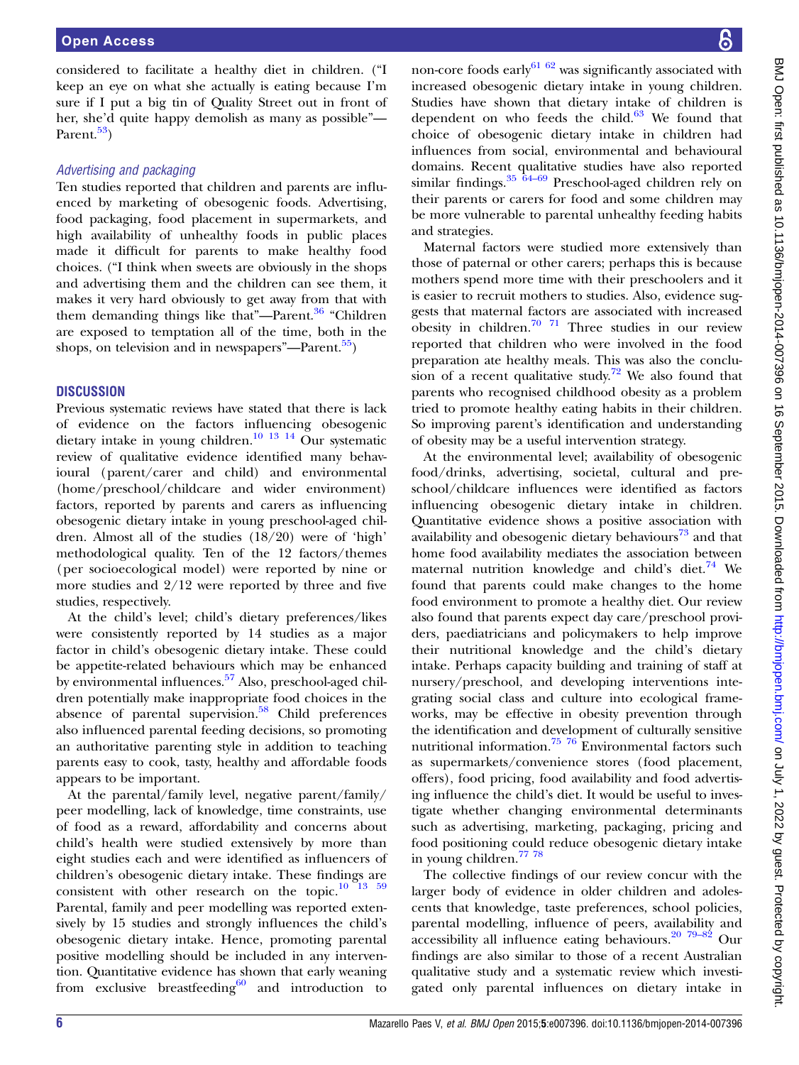considered to facilitate a healthy diet in children. ("I keep an eye on what she actually is eating because I'm sure if I put a big tin of Quality Street out in front of her, she'd quite happy demolish as many as possible"— Parent. $53$ 

#### Advertising and packaging

Ten studies reported that children and parents are influenced by marketing of obesogenic foods. Advertising, food packaging, food placement in supermarkets, and high availability of unhealthy foods in public places made it difficult for parents to make healthy food choices. ("I think when sweets are obviously in the shops and advertising them and the children can see them, it makes it very hard obviously to get away from that with them demanding things like that"—Parent. $36$  "Children are exposed to temptation all of the time, both in the shops, on television and in newspapers"—Parent. $55$ )

#### **DISCUSSION**

Previous systematic reviews have stated that there is lack of evidence on the factors influencing obesogenic dietary intake in young children.<sup>[10 13 14](#page-6-0)</sup> Our systematic review of qualitative evidence identified many behavioural (parent/carer and child) and environmental (home/preschool/childcare and wider environment) factors, reported by parents and carers as influencing obesogenic dietary intake in young preschool-aged children. Almost all of the studies (18/20) were of 'high' methodological quality. Ten of the 12 factors/themes (per socioecological model) were reported by nine or more studies and 2/12 were reported by three and five studies, respectively.

At the child's level; child's dietary preferences/likes were consistently reported by 14 studies as a major factor in child's obesogenic dietary intake. These could be appetite-related behaviours which may be enhanced by environmental influences.[57](#page-7-0) Also, preschool-aged children potentially make inappropriate food choices in the absence of parental supervision. $58$  Child preferences also influenced parental feeding decisions, so promoting an authoritative parenting style in addition to teaching parents easy to cook, tasty, healthy and affordable foods appears to be important.

At the parental/family level, negative parent/family/ peer modelling, lack of knowledge, time constraints, use of food as a reward, affordability and concerns about child's health were studied extensively by more than eight studies each and were identified as influencers of children's obesogenic dietary intake. These findings are consistent with other research on the topic. $10^{10}$   $13^{59}$ Parental, family and peer modelling was reported extensively by 15 studies and strongly influences the child's obesogenic dietary intake. Hence, promoting parental positive modelling should be included in any intervention. Quantitative evidence has shown that early weaning from exclusive breastfeeding $60$  and introduction to

non-core foods early $6162$  was significantly associated with increased obesogenic dietary intake in young children. Studies have shown that dietary intake of children is dependent on who feeds the child. $63$  We found that choice of obesogenic dietary intake in children had influences from social, environmental and behavioural domains. Recent qualitative studies have also reported similar findings.[35 64](#page-7-0)–<sup>69</sup> Preschool-aged children rely on their parents or carers for food and some children may be more vulnerable to parental unhealthy feeding habits and strategies.

Maternal factors were studied more extensively than those of paternal or other carers; perhaps this is because mothers spend more time with their preschoolers and it is easier to recruit mothers to studies. Also, evidence suggests that maternal factors are associated with increased  $\frac{3646}{200}$  in children.<sup>70</sup>  $\frac{71}{1}$  Three studies in our review reported that children who were involved in the food preparation ate healthy meals. This was also the conclu-sion of a recent qualitative study.<sup>[72](#page-8-0)</sup> We also found that parents who recognised childhood obesity as a problem tried to promote healthy eating habits in their children. So improving parent's identification and understanding of obesity may be a useful intervention strategy.

At the environmental level; availability of obesogenic food/drinks, advertising, societal, cultural and preschool/childcare influences were identified as factors influencing obesogenic dietary intake in children. Quantitative evidence shows a positive association with availability and obesogenic dietary behaviours $^{73}$  $^{73}$  $^{73}$  and that home food availability mediates the association between maternal nutrition knowledge and child's diet.<sup>[74](#page-8-0)</sup> We found that parents could make changes to the home food environment to promote a healthy diet. Our review also found that parents expect day care/preschool providers, paediatricians and policymakers to help improve their nutritional knowledge and the child's dietary intake. Perhaps capacity building and training of staff at nursery/preschool, and developing interventions integrating social class and culture into ecological frameworks, may be effective in obesity prevention through the identification and development of culturally sensitive nutritional information.<sup>75</sup> <sup>76</sup> Environmental factors such as supermarkets/convenience stores (food placement, offers), food pricing, food availability and food advertising influence the child's diet. It would be useful to investigate whether changing environmental determinants such as advertising, marketing, packaging, pricing and food positioning could reduce obesogenic dietary intake in young children.[77 78](#page-8-0)

The collective findings of our review concur with the larger body of evidence in older children and adolescents that knowledge, taste preferences, school policies, parental modelling, influence of peers, availability and accessibility all influence eating behaviours.<sup>20</sup> [79](#page-8-0)-82 Our findings are also similar to those of a recent Australian qualitative study and a systematic review which investigated only parental influences on dietary intake in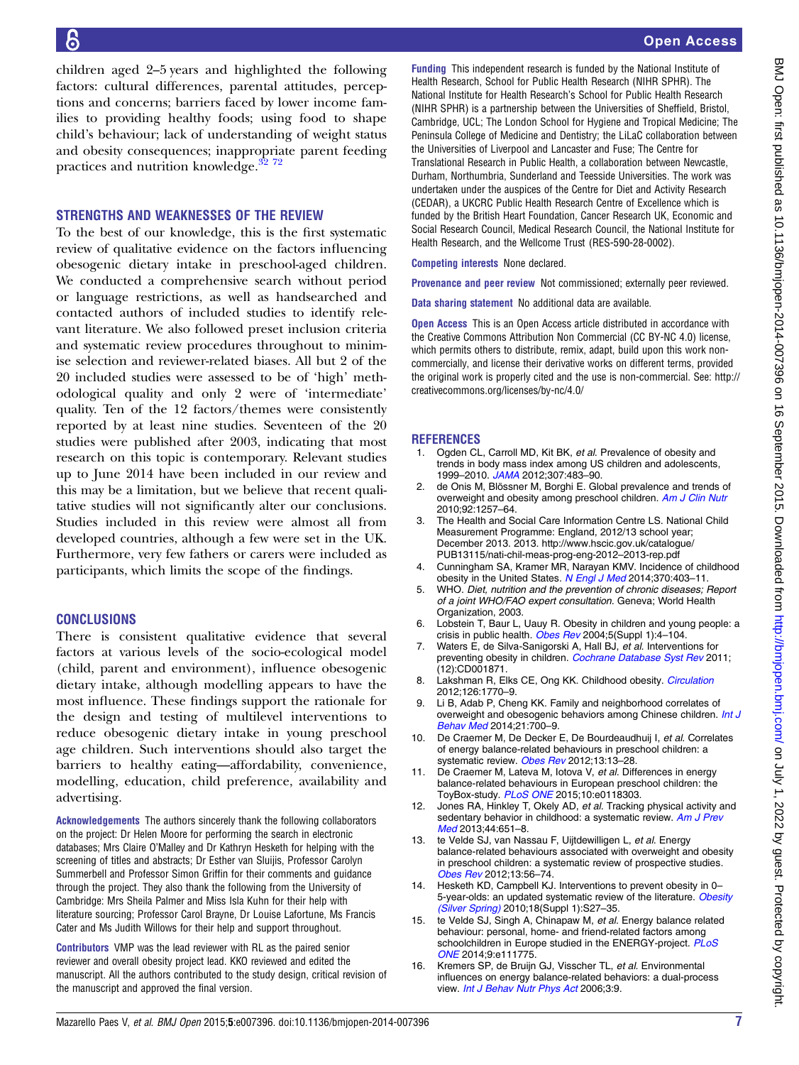<span id="page-6-0"></span>children aged 2–5 years and highlighted the following factors: cultural differences, parental attitudes, perceptions and concerns; barriers faced by lower income families to providing healthy foods; using food to shape child's behaviour; lack of understanding of weight status and obesity consequences; inappropriate parent feeding practices and nutrition knowledge. $3272$  $3272$ 

#### STRENGTHS AND WEAKNESSES OF THE REVIEW

To the best of our knowledge, this is the first systematic review of qualitative evidence on the factors influencing obesogenic dietary intake in preschool-aged children. We conducted a comprehensive search without period or language restrictions, as well as handsearched and contacted authors of included studies to identify relevant literature. We also followed preset inclusion criteria and systematic review procedures throughout to minimise selection and reviewer-related biases. All but 2 of the 20 included studies were assessed to be of 'high' methodological quality and only 2 were of 'intermediate' quality. Ten of the 12 factors/themes were consistently reported by at least nine studies. Seventeen of the 20 studies were published after 2003, indicating that most research on this topic is contemporary. Relevant studies up to June 2014 have been included in our review and this may be a limitation, but we believe that recent qualitative studies will not significantly alter our conclusions. Studies included in this review were almost all from developed countries, although a few were set in the UK. Furthermore, very few fathers or carers were included as participants, which limits the scope of the findings.

#### **CONCLUSIONS**

There is consistent qualitative evidence that several factors at various levels of the socio-ecological model (child, parent and environment), influence obesogenic dietary intake, although modelling appears to have the most influence. These findings support the rationale for the design and testing of multilevel interventions to reduce obesogenic dietary intake in young preschool age children. Such interventions should also target the barriers to healthy eating—affordability, convenience, modelling, education, child preference, availability and advertising.

Acknowledgements The authors sincerely thank the following collaborators on the project: Dr Helen Moore for performing the search in electronic databases; Mrs Claire O'Malley and Dr Kathryn Hesketh for helping with the screening of titles and abstracts; Dr Esther van Sluijis, Professor Carolyn Summerbell and Professor Simon Griffin for their comments and guidance through the project. They also thank the following from the University of Cambridge: Mrs Sheila Palmer and Miss Isla Kuhn for their help with literature sourcing; Professor Carol Brayne, Dr Louise Lafortune, Ms Francis Cater and Ms Judith Willows for their help and support throughout.

Contributors VMP was the lead reviewer with RL as the paired senior reviewer and overall obesity project lead. KKO reviewed and edited the manuscript. All the authors contributed to the study design, critical revision of the manuscript and approved the final version.

Funding This independent research is funded by the National Institute of Health Research, School for Public Health Research (NIHR SPHR). The National Institute for Health Research's School for Public Health Research (NIHR SPHR) is a partnership between the Universities of Sheffield, Bristol, Cambridge, UCL; The London School for Hygiene and Tropical Medicine; The Peninsula College of Medicine and Dentistry; the LiLaC collaboration between the Universities of Liverpool and Lancaster and Fuse; The Centre for Translational Research in Public Health, a collaboration between Newcastle, Durham, Northumbria, Sunderland and Teesside Universities. The work was undertaken under the auspices of the Centre for Diet and Activity Research (CEDAR), a UKCRC Public Health Research Centre of Excellence which is funded by the British Heart Foundation, Cancer Research UK, Economic and Social Research Council, Medical Research Council, the National Institute for Health Research, and the Wellcome Trust (RES-590-28-0002).

Competing interests None declared.

Provenance and peer review Not commissioned; externally peer reviewed.

Data sharing statement No additional data are available.

Open Access This is an Open Access article distributed in accordance with the Creative Commons Attribution Non Commercial (CC BY-NC 4.0) license, which permits others to distribute, remix, adapt, build upon this work noncommercially, and license their derivative works on different terms, provided the original work is properly cited and the use is non-commercial. See: [http://](http://creativecommons.org/licenses/by-nc/4.0/) [creativecommons.org/licenses/by-nc/4.0/](http://creativecommons.org/licenses/by-nc/4.0/)

#### **REFERENCES**

- Ogden CL, Carroll MD, Kit BK, et al. Prevalence of obesity and trends in body mass index among US children and adolescents, 1999–2010. [JAMA](http://dx.doi.org/10.1001/jama.2012.40) 2012;307:483–90.
- 2. de Onis M, Blössner M, Borghi E. Global prevalence and trends of overweight and obesity among preschool children. [Am J Clin Nutr](http://dx.doi.org/10.3945/ajcn.2010.29786) 2010;92:1257–64.
- The Health and Social Care Information Centre LS. National Child Measurement Programme: England, 2012/13 school year; December 2013. 2013. [http://www.hscic.gov.uk/catalogue/](http://www.hscic.gov.uk/catalogue/PUB13115/nati-chil-meas-prog-eng-2012–2013-rep.pdf) [PUB13115/nati-chil-meas-prog-eng-2012](http://www.hscic.gov.uk/catalogue/PUB13115/nati-chil-meas-prog-eng-2012–2013-rep.pdf)–2013-rep.pdf
- 4. Cunningham SA, Kramer MR, Narayan KMV. Incidence of childhood obesity in the United States. [N Engl J Med](http://dx.doi.org/10.1056/NEJMoa1309753) 2014;370:403-11.
- 5. WHO. Diet, nutrition and the prevention of chronic diseases; Report of a joint WHO/FAO expert consultation. Geneva; World Health Organization, 2003.
- 6. Lobstein T, Baur L, Uauy R. Obesity in children and young people: a crisis in public health. [Obes Rev](http://dx.doi.org/10.1111/j.1467-789X.2004.00133.x) 2004;5(Suppl 1):4-104.
- 7. Waters E, de Silva-Sanigorski A, Hall BJ, et al. Interventions for preventing obesity in children. [Cochrane Database Syst Rev](http://dx.doi.org/10.1002/14651858.CD001871.pub3) 2011; (12):CD001871.
- 8. Lakshman R, Elks CE, Ong KK. Childhood obesity. [Circulation](http://dx.doi.org/10.1161/CIRCULATIONAHA.111.047738) 2012;126:1770–9.
- 9. Li B, Adab P, Cheng KK. Family and neighborhood correlates of overweight and obesogenic behaviors among Chinese children. [Int J](http://dx.doi.org/10.1007/s12529-013-9333-y) [Behav Med](http://dx.doi.org/10.1007/s12529-013-9333-y) 2014;21:700–9.
- 10. De Craemer M, De Decker E, De Bourdeaudhuij I, et al. Correlates of energy balance-related behaviours in preschool children: a systematic review. [Obes Rev](http://dx.doi.org/10.1111/j.1467-789X.2011.00941.x) 2012;13:13-28.
- 11. De Craemer M, Lateva M, Iotova V, et al. Differences in energy balance-related behaviours in European preschool children: the ToyBox-study. [PLoS ONE](http://dx.doi.org/10.1371/journal.pone.0118303) 2015;10:e0118303.
- 12. Jones RA, Hinkley T, Okely AD, et al. Tracking physical activity and sedentary behavior in childhood: a systematic review. [Am J Prev](http://dx.doi.org/10.1016/j.amepre.2013.03.001) [Med](http://dx.doi.org/10.1016/j.amepre.2013.03.001) 2013;44:651–8.
- 13. te Velde SJ, van Nassau F, Uijtdewilligen L, et al. Energy balance-related behaviours associated with overweight and obesity in preschool children: a systematic review of prospective studies. [Obes Rev](http://dx.doi.org/10.1111/j.1467-789X.2011.00960.x) 2012;13:56–74.
- 14. Hesketh KD, Campbell KJ. Interventions to prevent obesity in 0– 5-year-olds: an updated systematic review of the literature. [Obesity](http://dx.doi.org/10.1038/oby.2009.429) [\(Silver Spring\)](http://dx.doi.org/10.1038/oby.2009.429) 2010;18(Suppl 1):S27–35.
- 15. te Velde SJ, Singh A, Chinapaw M, et al. Energy balance related behaviour: personal, home- and friend-related factors among schoolchildren in Europe studied in the ENERGY-project. [PLoS](http://dx.doi.org/10.1371/journal.pone.0111775) [ONE](http://dx.doi.org/10.1371/journal.pone.0111775) 2014;9:e111775.
- 16. Kremers SP, de Bruijn GJ, Visscher TL, et al. Environmental influences on energy balance-related behaviors: a dual-process view. [Int J Behav Nutr Phys Act](http://dx.doi.org/10.1186/1479-5868-3-9) 2006;3:9.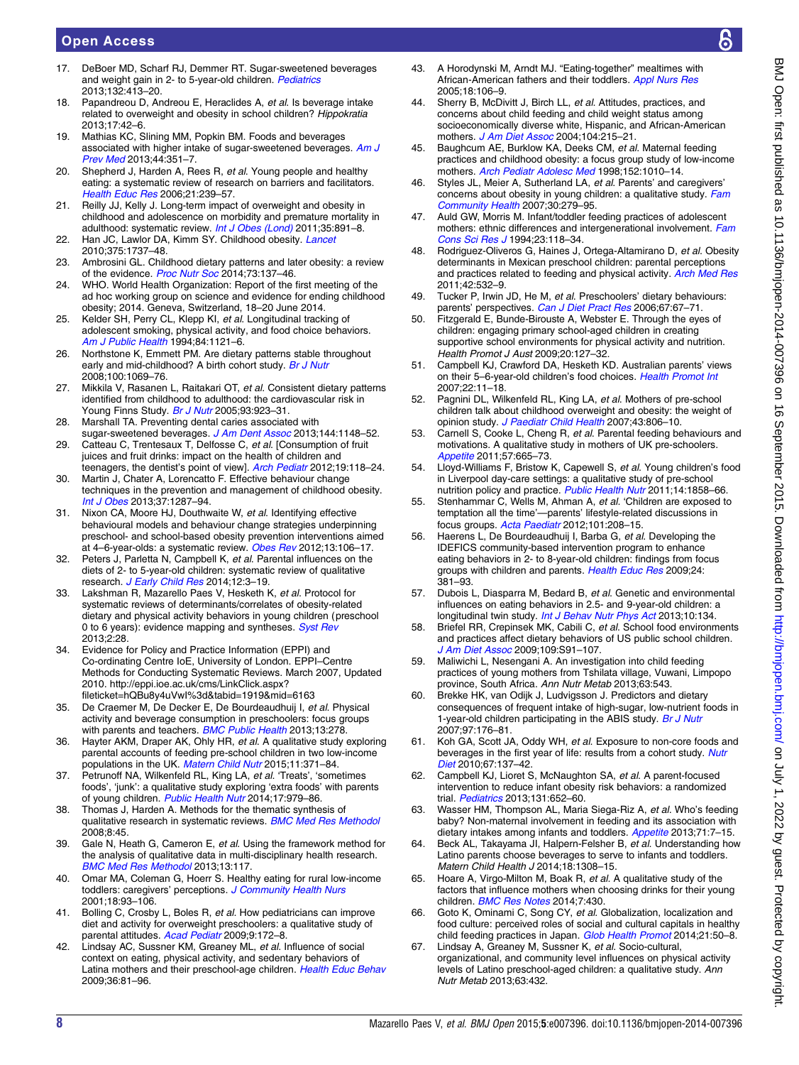# <span id="page-7-0"></span>Open Access

- DeBoer MD, Scharf RJ, Demmer RT. Sugar-sweetened beverages and weight gain in 2- to 5-year-old children. [Pediatrics](http://dx.doi.org/10.1542/peds.2013-0570) 2013;132:413–20.
- 18. Papandreou D, Andreou E, Heraclides A, et al. Is beverage intake related to overweight and obesity in school children? Hippokratia 2013;17:42–6.
- 19. Mathias KC, Slining MM, Popkin BM. Foods and beverages associated with higher intake of sugar-sweetened beverages. [Am J](http://dx.doi.org/10.1016/j.amepre.2012.11.036) [Prev Med](http://dx.doi.org/10.1016/j.amepre.2012.11.036) 2013;44:351–7.
- 20. Shepherd J, Harden A, Rees R, et al. Young people and healthy eating: a systematic review of research on barriers and facilitators. [Health Educ Res](http://dx.doi.org/10.1093/her/cyh060) 2006;21:239–57.
- 21. Reilly JJ, Kelly J. Long-term impact of overweight and obesity in childhood and adolescence on morbidity and premature mortality in adulthood: systematic review. [Int J Obes \(Lond\)](http://dx.doi.org/10.1038/ijo.2010.222) 2011;35:891-8.
- 22. Han JC, Lawlor DA, Kimm SY. Childhood obesity. [Lancet](http://dx.doi.org/10.1016/S0140-6736(10)60171-7) 2010;375:1737–48.
- 23. Ambrosini GL. Childhood dietary patterns and later obesity: a review of the evidence. [Proc Nutr Soc](http://dx.doi.org/10.1017/S0029665113003765) 2014;73:137-46.
- 24. WHO. World Health Organization: Report of the first meeting of the ad hoc working group on science and evidence for ending childhood obesity; 2014. Geneva, Switzerland, 18–20 June 2014.
- 25. Kelder SH, Perry CL, Klepp KI, et al. Longitudinal tracking of adolescent smoking, physical activity, and food choice behaviors. [Am J Public Health](http://dx.doi.org/10.2105/AJPH.84.7.1121) 1994;84:1121–6.
- 26. Northstone K, Emmett PM. Are dietary patterns stable throughout early and mid-childhood? A birth cohort study. [Br J Nutr](http://dx.doi.org/10.1017/S0007114508968264) 2008;100:1069–76.
- 27. Mikkila V, Rasanen L, Raitakari OT, et al. Consistent dietary patterns identified from childhood to adulthood: the cardiovascular risk in Young Finns Study. [Br J Nutr](http://dx.doi.org/10.1079/BJN20051418) 2005;93:923-31.
- 28. Marshall TA. Preventing dental caries associated with sugar-sweetened beverages. [J Am Dent Assoc](http://dx.doi.org/10.14219/jada.archive.2013.0033) 2013;144:1148-52.
- 29. Catteau C, Trentesaux T, Delfosse C, et al. [Consumption of fruit juices and fruit drinks: impact on the health of children and teenagers, the dentist's point of view]. [Arch Pediatr](http://dx.doi.org/10.1016/j.arcped.2011.11.011) 2012;19:118-24.
- 30. Martin J, Chater A, Lorencatto F. Effective behaviour change techniques in the prevention and management of childhood obesity. [Int J Obes](http://dx.doi.org/10.1038/ijo.2013.107) 2013;37:1287–94.
- 31. Nixon CA, Moore HJ, Douthwaite W, et al. Identifying effective behavioural models and behaviour change strategies underpinning preschool- and school-based obesity prevention interventions aimed at 4–6-year-olds: a systematic review. [Obes Rev](http://dx.doi.org/10.1111/j.1467-789X.2011.00962.x) 2012;13:106–17.
- 32. Peters J, Parletta N, Campbell K, et al. Parental influences on the diets of 2- to 5-year-old children: systematic review of qualitative research. [J Early Child Res](http://dx.doi.org/10.1177/1476718X13492940) 2014;12:3-19.
- 33. Lakshman R, Mazarello Paes V, Hesketh K, et al. Protocol for systematic reviews of determinants/correlates of obesity-related dietary and physical activity behaviors in young children (preschool 0 to 6 years): evidence mapping and syntheses. [Syst Rev](http://dx.doi.org/10.1186/2046-4053-2-28) 2013;2:28.
- 34. Evidence for Policy and Practice Information (EPPI) and Co-ordinating Centre IoE, University of London. EPPI–Centre Methods for Conducting Systematic Reviews. March 2007, Updated 2010. [http://eppi.ioe.ac.uk/cms/LinkClick.aspx?](http://eppi.ioe.ac.uk/cms/LinkClick.aspx?fileticket=hQBu8y4uVwI%3d&tabid=1919&mid=6163) [fileticket=hQBu8y4uVwI%3d&tabid=1919&mid=6163](http://eppi.ioe.ac.uk/cms/LinkClick.aspx?fileticket=hQBu8y4uVwI%3d&tabid=1919&mid=6163)
- 35. De Craemer M, De Decker E, De Bourdeaudhuij I, et al. Physical activity and beverage consumption in preschoolers: focus groups with parents and teachers. **[BMC Public Health](http://dx.doi.org/10.1186/1471-2458-13-278) 2013**;13:278.
- 36. Hayter AKM, Draper AK, Ohly HR, et al. A qualitative study exploring parental accounts of feeding pre-school children in two low-income populations in the UK. [Matern Child Nutr](http://dx.doi.org/10.1111/mcn.12017) 2015;11:371–84.
- 37. Petrunoff NA, Wilkenfeld RL, King LA, et al. 'Treats', 'sometimes foods', 'junk': a qualitative study exploring 'extra foods' with parents of young children. [Public Health Nutr](http://dx.doi.org/10.1017/S1368980012005095) 2014;17:979-86.
- 38. Thomas J, Harden A. Methods for the thematic synthesis of qualitative research in systematic reviews. [BMC Med Res Methodol](http://dx.doi.org/10.1186/1471-2288-8-45) 2008;8:45.
- 39. Gale N, Heath G, Cameron E, et al. Using the framework method for the analysis of qualitative data in multi-disciplinary health research. [BMC Med Res Methodol](http://dx.doi.org/10.1186/1471-2288-13-117) 2013;13:117.
- 40. Omar MA, Coleman G, Hoerr S. Healthy eating for rural low-income toddlers: caregivers' perceptions. [J Community Health Nurs](http://dx.doi.org/10.1207/S15327655JCHN1802_03) 2001;18:93–106.
- 41. Bolling C, Crosby L, Boles R, et al. How pediatricians can improve diet and activity for overweight preschoolers: a qualitative study of parental attitudes. [Acad Pediatr](http://dx.doi.org/10.1016/j.acap.2009.01.010) 2009;9:172-8.
- 42. Lindsay AC, Sussner KM, Greaney ML, et al. Influence of social context on eating, physical activity, and sedentary behaviors of Latina mothers and their preschool-age children. [Health Educ Behav](http://dx.doi.org/10.1177/1090198107308375) 2009;36:81–96.
- 43. A Horodynski M, Arndt MJ. "Eating-together" mealtimes with African-American fathers and their toddlers. [Appl Nurs Res](http://dx.doi.org/10.1016/j.apnr.2004.05.002) 2005;18:106–9.
- 44. Sherry B, McDivitt J, Birch LL, et al. Attitudes, practices, and concerns about child feeding and child weight status among socioeconomically diverse white, Hispanic, and African-American mothers. [J Am Diet Assoc](http://dx.doi.org/10.1016/j.jada.2003.11.012) 2004;104:215-21.
- 45. Baughcum AE, Burklow KA, Deeks CM, et al. Maternal feeding practices and childhood obesity: a focus group study of low-income mothers. [Arch Pediatr Adolesc Med](http://dx.doi.org/10.1001/archpedi.152.10.1010) 1998;152:1010–14.
- 46. Styles JL, Meier A, Sutherland LA, et al. Parents' and caregivers' concerns about obesity in young children: a qualitative study. [Fam](http://dx.doi.org/10.1097/01.FCH.0000290541.02834.e0) [Community Health](http://dx.doi.org/10.1097/01.FCH.0000290541.02834.e0) 2007;30:279-95.
- 47. Auld GW, Morris M. Infant/toddler feeding practices of adolescent mothers: ethnic differences and intergenerational involvement. [Fam](http://dx.doi.org/10.1177/1077727X94232003) [Cons Sci Res J](http://dx.doi.org/10.1177/1077727X94232003) 1994;23:118–34.
- 48. Rodriguez-Oliveros G, Haines J, Ortega-Altamirano D, et al. Obesity determinants in Mexican preschool children: parental perceptions and practices related to feeding and physical activity. [Arch Med Res](http://dx.doi.org/10.1016/j.arcmed.2011.10.006) 2011;42:532–9.
- 49. Tucker P, Irwin JD, He M, et al. Preschoolers' dietary behaviours: parents' perspectives. [Can J Diet Pract Res](http://dx.doi.org/10.3148/67.2.2006.67) 2006;67:67-71.
- 50. Fitzgerald E, Bunde-Birouste A, Webster E. Through the eyes of children: engaging primary school-aged children in creating supportive school environments for physical activity and nutrition. Health Promot J Aust 2009;20:127–32.
- 51. Campbell KJ, Crawford DA, Hesketh KD. Australian parents' views on their 5–6-year-old children's food choices. [Health Promot Int](http://dx.doi.org/10.1093/heapro/dal035) 2007;22:11–18.
- 52. Pagnini DL, Wilkenfeld RL, King LA, et al. Mothers of pre-school children talk about childhood overweight and obesity: the weight of opinion study. [J Paediatr Child Health](http://dx.doi.org/10.1111/j.1440-1754.2007.01199.x) 2007;43:806–10.
- 53. Carnell S, Cooke L, Cheng R, et al. Parental feeding behaviours and motivations. A qualitative study in mothers of UK pre-schoolers. [Appetite](http://dx.doi.org/10.1016/j.appet.2011.08.009) 2011;57:665–73.
- 54. Lloyd-Williams F, Bristow K, Capewell S, et al. Young children's food in Liverpool day-care settings: a qualitative study of pre-school nutrition policy and practice. [Public Health Nutr](http://dx.doi.org/10.1017/S1368980011000619) 2011;14:1858–66.
- 55. Stenhammar C, Wells M, Ahman A, et al. 'Children are exposed to temptation all the time'—parents' lifestyle-related discussions in focus groups. [Acta Paediatr](http://dx.doi.org/10.1111/j.1651-2227.2011.02446.x) 2012;101:208–15.
- 56. Haerens L, De Bourdeaudhuij I, Barba G, et al. Developing the IDEFICS community-based intervention program to enhance eating behaviors in 2- to 8-year-old children: findings from focus groups with children and parents. [Health Educ Res](http://dx.doi.org/10.1093/her/cyn033) 2009;24: 381–93.
- 57. Dubois L, Diasparra M, Bedard B, et al. Genetic and environmental influences on eating behaviors in 2.5- and 9-year-old children: a longitudinal twin study. [Int J Behav Nutr Phys Act](http://dx.doi.org/10.1186/1479-5868-10-134) 2013;10:134.
- 58. Briefel RR, Crepinsek MK, Cabili C, et al. School food environments and practices affect dietary behaviors of US public school children. [J Am Diet Assoc](http://dx.doi.org/10.1016/j.jada.2008.10.059) 2009;109:S91–107.
- 59. Maliwichi L, Nesengani A. An investigation into child feeding practices of young mothers from Tshilata village, Vuwani, Limpopo province, South Africa. Ann Nutr Metab 2013;63:543.
- 60. Brekke HK, van Odijk J, Ludvigsson J. Predictors and dietary consequences of frequent intake of high-sugar, low-nutrient foods in 1-year-old children participating in the ABIS study. [Br J Nutr](http://dx.doi.org/10.1017/S0007114507244460) 2007;97:176–81.
- 61. Koh GA, Scott JA, Oddy WH, et al. Exposure to non-core foods and beverages in the first year of life: results from a cohort study. [Nutr](http://dx.doi.org/10.1111/j.1747-0080.2010.01445.x) [Diet](http://dx.doi.org/10.1111/j.1747-0080.2010.01445.x) 2010;67:137–42.
- 62. Campbell KJ, Lioret S, McNaughton SA, et al. A parent-focused intervention to reduce infant obesity risk behaviors: a randomized trial. [Pediatrics](http://dx.doi.org/10.1542/peds.2012-2576) 2013;131:652-60.
- 63. Wasser HM, Thompson AL, Maria Siega-Riz A, et al. Who's feeding baby? Non-maternal involvement in feeding and its association with dietary intakes among infants and toddlers. [Appetite](http://dx.doi.org/10.1016/j.appet.2013.06.096) 2013;71:7-15.
- Beck AL, Takayama JI, Halpern-Felsher B, et al. Understanding how Latino parents choose beverages to serve to infants and toddlers. Matern Child Health J 2014;18:1308–15.
- 65. Hoare A, Virgo-Milton M, Boak R, et al. A qualitative study of the factors that influence mothers when choosing drinks for their young children. **[BMC Res Notes](http://dx.doi.org/10.1186/1756-0500-7-430)** 2014;7:430.
- 66. Goto K, Ominami C, Song CY, et al. Globalization, localization and food culture: perceived roles of social and cultural capitals in healthy child feeding practices in Japan. [Glob Health Promot](http://dx.doi.org/10.1177/1757975913511133) 2014;21:50-8.
- 67. Lindsay A, Greaney M, Sussner K, et al. Socio-cultural, organizational, and community level influences on physical activity levels of Latino preschool-aged children: a qualitative study. Ann Nutr Metab 2013;63:432.